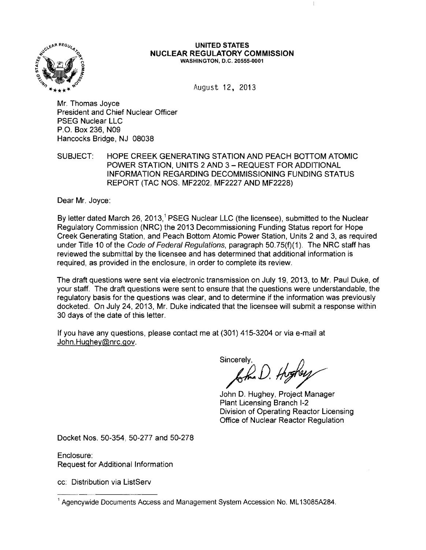

#### UNITED STATES **NUCLEAR REGULATORY COMMISSION**  WASHINGTON, D.C. 20555-0001

August 12. 2013

Mr. Thomas Joyce President and Chief Nuclear Officer PSEG Nuclear LLC P.O. Box 236, N09 Hancocks Bridge, NJ 08038

SUBJECT: HOPE CREEK GENERATING STATION AND PEACH BOTTOM ATOMIC POWER STATION, UNITS 2 AND 3 - REQUEST FOR ADDITIONAL INFORMATION REGARDING DECOMMISSIONING FUNDING STATUS REPORT (TAC NOS. MF2202, MF2227 AND MF2228)

Dear Mr. Joyce:

By letter dated March 26, 2013,<sup>1</sup> PSEG Nuclear LLC (the licensee), submitted to the Nuclear Regulatory Commission (NRC) the 2013 Decommissioning Funding Status report for Hope Creek Generating Station, and Peach Bottom Atomic Power Station, Units 2 and 3, as required under Title 10 of the Code of Federal Regulations, paragraph 50.75(f)(1). The NRC staff has reviewed the submittal by the licensee and has determined that additional information is required, as provided in the enclosure, in order to complete its review.

The draft questions were sent via electronic transmission on July 19, 2013, to Mr. Paul Duke, of your staff. The draft questions were sent to ensure that the questions were understandable, the regulatory basis for the questions was clear, and to determine if the information was previously docketed. On July 24, 2013, Mr. Duke indicated that the licensee will submit a response within 30 days of the date of this letter.

If you have any questions, please contact me at (301) 415-3204 or via e-mail at John.Hughey@nrc.gov.

 $S_{i}^{s_{\text{incretly}}},$  froghers

John D. Hughey, Project Manager Plant Licensing Branch 1-2 Division of Operating Reactor Licensing Office of Nuclear Reactor Regulation

Docket Nos. 50-354, 50-277 and 50-278

Enclosure: Request for Additional Information

cc: Distribution via ListServ

<sup>1</sup> Agencywide Documents Access and Management System Accession No. ML 13085A284.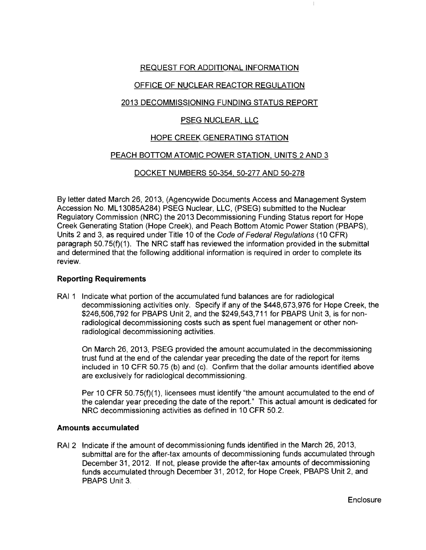## REQUEST FOR ADDITIONAL INFORMATION

## OFFICE OF NUCLEAR REACTOR REGULATION

## 2013 DECOMMISSIONING FUNDING STATUS REPORT

# PSEG NUCLEAR. LLC

# HOPE CREEK GENERATING STATION

### PEACH BOTTOM ATOMIC POWER STATION, UNITS 2 AND 3

### DOCKET NUMBERS 50-354, 50-277 AND 50-278

By tetter dated March 26,2013, (Agencywide Documents Access and Management System Accession No. ML 13085A284) PSEG Nuclear, LLC, (PSEG) submitted to the Nuclear Regulatory Commission (NRC) the 2013 Decommissioning Funding Status report for Hope Creek Generating Station (Hope Creek), and Peach Bottom Atomic Power Station (PBAPS), Units 2 and 3, as required under Title 10 of the Code of Federal Regulations (10 CFR) paragraph 50. 75(f)(1). The NRC staff has reviewed the information provided in the submittal and determined that the following additional information is required in order to complete its review.

#### **Reporting Requirements**

RAI 1 Indicate what portion of the accumulated fund balances are for radiological decommissioning activities only. Specify if any of the \$448,673,976 for Hope Creek, the \$246,506,792 for PBAPS Unit 2, and the \$249,543,711 for PBAPS Unit 3, is for nonradiological decommissioning costs such as spent fuel management or other nonradiological decommissioning activities.

On March 26, 2013, PSEG provided the amount accumulated in the decommissioning trust fund at the end of the calendar year preceding the date of the report for items included in 10 CFR 50.75 (b) and (c). Confirm that the dollar amounts identified above are exclusively for radiological decommissioning.

Per 10 CFR 50.75(f)(1), licensees must identify "the amount accumulated to the end of the calendar year preceding the date of the report." This actual amount is dedicated for NRC decommissioning activities as defined in 10 CFR 50.2.

#### **Amounts accumulated**

RAI 2 Indicate if the amount of decommissioning funds identified in the March 26, 2013, submittal are for the after-tax amounts of decommissioning funds accumulated through December 31, 2012. If not, please provide the after-tax amounts of decommissioning funds accumulated through December 31,2012, for Hope Creek, PBAPS Unit 2, and PBAPS Unit 3.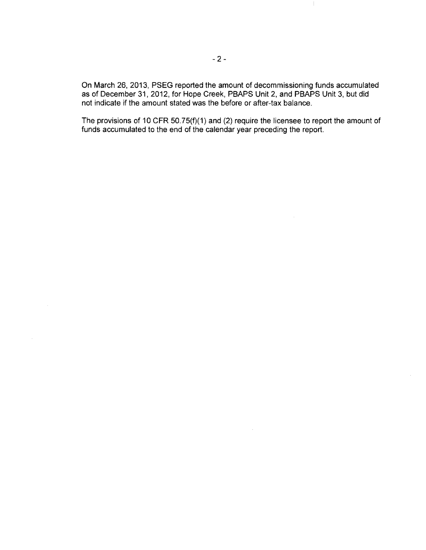On March 26, 2013, PSEG reported the amount of decommissioning funds accumulated as of December 31,2012, for Hope Creek, PBAPS Unit 2, and PBAPS Unit 3, but did not indicate if the amount stated was the before or after-tax balance.

 $\mathbb{F}$ 

The provisions of 10 CFR 50.75(f)(1) and (2) require the licensee to report the amount of funds accumulated to the end of the calendar year preceding the report.